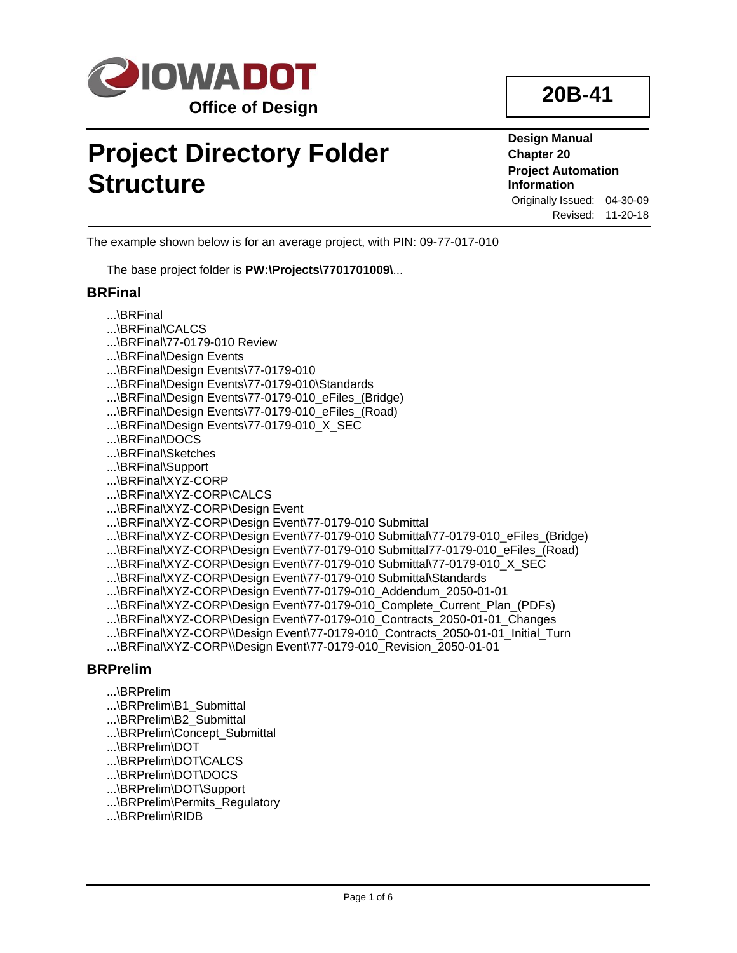

# **Project Directory Folder Structure**

**Design Manual Chapter 20 Project Automation Information** Originally Issued: 04-30-09

Revised: 11-20-18

The example shown below is for an average project, with PIN: 09-77-017-010

The base project folder is **PW:\Projects\7701701009\**...

#### **BRFinal**

- ...\BRFinal
- ...\BRFinal\CALCS
- ...\BRFinal\77-0179-010 Review
- ...\BRFinal\Design Events
- ...\BRFinal\Design Events\77-0179-010
- ...\BRFinal\Design Events\77-0179-010\Standards
- ...\BRFinal\Design Events\77-0179-010\_eFiles\_(Bridge)
- ...\BRFinal\Design Events\77-0179-010 eFiles (Road)
- ...\BRFinal\Design Events\77-0179-010 X SEC
- ...\BRFinal\DOCS
- ...\BRFinal\Sketches
- ...\BRFinal\Support
- ...\BRFinal\XYZ-CORP
- ...\BRFinal\XYZ-CORP\CALCS
- ...\BRFinal\XYZ-CORP\Design Event
- ...\BRFinal\XYZ-CORP\Design Event\77-0179-010 Submittal
- ...\BRFinal\XYZ-CORP\Design Event\77-0179-010 Submittal\77-0179-010\_eFiles\_(Bridge)
- ...\BRFinal\XYZ-CORP\Design Event\77-0179-010 Submittal77-0179-010\_eFiles\_(Road)
- ...\BRFinal\XYZ-CORP\Design Event\77-0179-010 Submittal\77-0179-010\_X\_SEC
- ...\BRFinal\XYZ-CORP\Design Event\77-0179-010 Submittal\Standards
- ...\BRFinal\XYZ-CORP\Design Event\77-0179-010\_Addendum\_2050-01-01
- ...\BRFinal\XYZ-CORP\Design Event\77-0179-010\_Complete\_Current\_Plan\_(PDFs)
- ...\BRFinal\XYZ-CORP\Design Event\77-0179-010\_Contracts\_2050-01-01\_Changes
- ...\BRFinal\XYZ-CORP\\Design Event\77-0179-010\_Contracts\_2050-01-01\_Initial\_Turn
- ...\BRFinal\XYZ-CORP\\Design Event\77-0179-010\_Revision\_2050-01-01

## **BRPrelim**

- ...\BRPrelim
- ...\BRPrelim\B1\_Submittal
- ...\BRPrelim\B2\_Submittal
- ...\BRPrelim\Concept\_Submittal
- ...\BRPrelim\DOT
- ...\BRPrelim\DOT\CALCS
- ...\BRPrelim\DOT\DOCS
- ...\BRPrelim\DOT\Support
- ...\BRPrelim\Permits\_Regulatory
- ...\BRPrelim\RIDB

# **20B-41**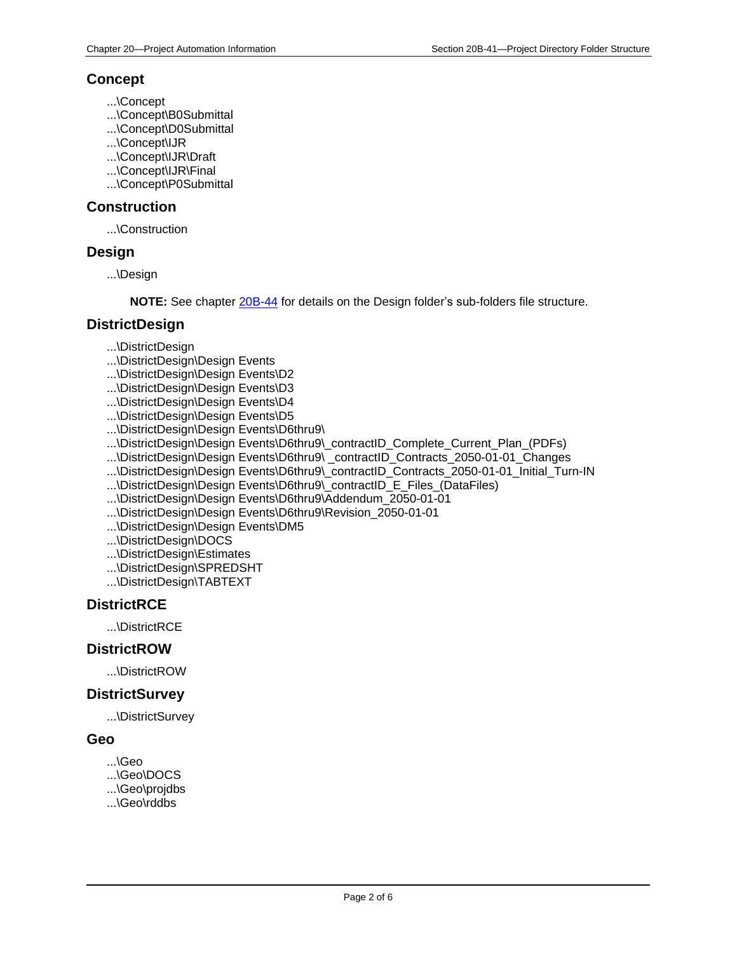#### **Concept**

- ...\Concept
- ...\Concept\B0Submittal
- ...\Concept\D0Submittal
- ...\Concept\IJR
- ...\Concept\IJR\Draft
- ...\Concept\IJR\Final
- ...\Concept\P0Submittal

#### **Construction**

...\Construction

#### **Design**

...\Design

**NOTE:** See chapter [20B-44](20B-44.pdf) for details on the Design folder's sub-folders file structure.

#### **DistrictDesign**

- ...\DistrictDesign
- ...\DistrictDesign\Design Events
- ...\DistrictDesign\Design Events\D2
- ...\DistrictDesign\Design Events\D3
- ...\DistrictDesign\Design Events\D4
- ...\DistrictDesign\Design Events\D5
- ...\DistrictDesign\Design Events\D6thru9\
- ...\DistrictDesign\Design Events\D6thru9\\_contractID\_Complete\_Current\_Plan\_(PDFs)
- ...\DistrictDesign\Design Events\D6thru9\ \_contractID\_Contracts\_2050-01-01\_Changes
- ...\DistrictDesign\Design Events\D6thru9\\_contractID\_Contracts\_2050-01-01\_Initial\_Turn-IN
- ...\DistrictDesign\Design Events\D6thru9\ contractID E Files (DataFiles)
- ...\DistrictDesign\Design Events\D6thru9\Addendum\_2050-01-01
- ...\DistrictDesign\Design Events\D6thru9\Revision\_2050-01-01
- ...\DistrictDesign\Design Events\DM5
- ...\DistrictDesign\DOCS
- ...\DistrictDesign\Estimates
- ...\DistrictDesign\SPREDSHT
- ...\DistrictDesign\TABTEXT

## **DistrictRCE**

...\DistrictRCE

#### **DistrictROW**

...\DistrictROW

#### **DistrictSurvey**

...\DistrictSurvey

#### **Geo**

- ...\Geo
- ...\Geo\DOCS
- ...\Geo\projdbs
- ...\Geo\rddbs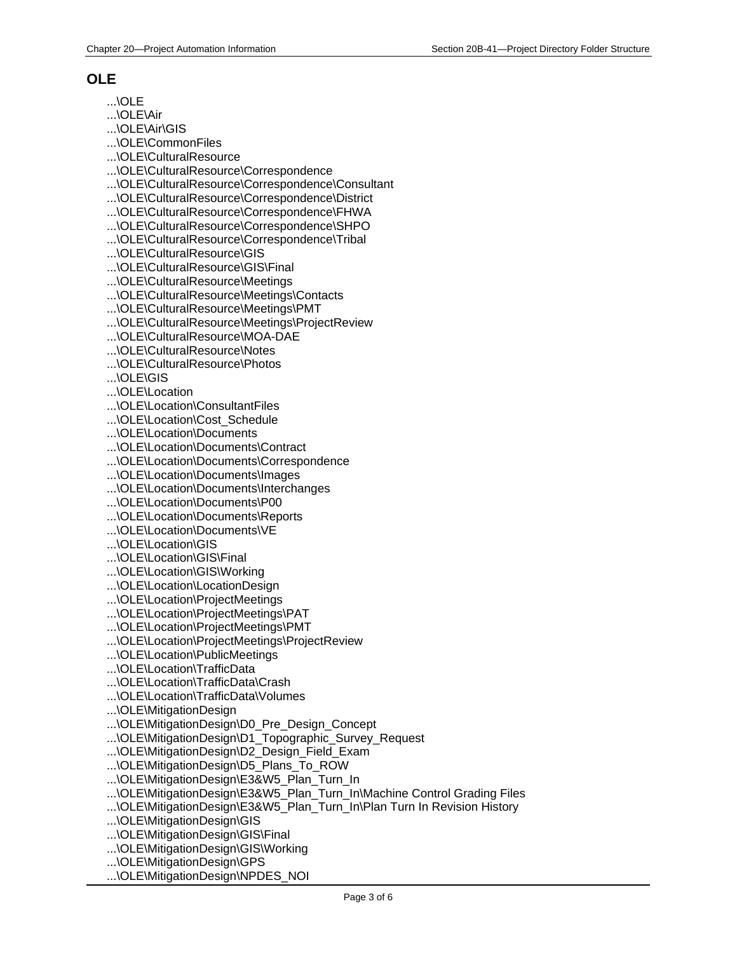## **OLE**

...\OLE

...\OLE\Air

...\OLE\Air\GIS

...\OLE\CommonFiles

...\OLE\CulturalResource

...\OLE\CulturalResource\Correspondence

...\OLE\CulturalResource\Correspondence\Consultant

...\OLE\CulturalResource\Correspondence\District

...\OLE\CulturalResource\Correspondence\FHWA

...\OLE\CulturalResource\Correspondence\SHPO

...\OLE\CulturalResource\Correspondence\Tribal

...\OLE\CulturalResource\GIS

...\OLE\CulturalResource\GIS\Final

...\OLE\CulturalResource\Meetings

...\OLE\CulturalResource\Meetings\Contacts

...\OLE\CulturalResource\Meetings\PMT

...\OLE\CulturalResource\Meetings\ProjectReview

...\OLE\CulturalResource\MOA-DAE

...\OLE\CulturalResource\Notes

...\OLE\CulturalResource\Photos

...\OLE\GIS

...\OLE\Location

...\OLE\Location\ConsultantFiles

...\OLE\Location\Cost\_Schedule

...\OLE\Location\Documents

...\OLE\Location\Documents\Contract

...\OLE\Location\Documents\Correspondence

...\OLE\Location\Documents\Images

...\OLE\Location\Documents\Interchanges

...\OLE\Location\Documents\P00

...\OLE\Location\Documents\Reports

...\OLE\Location\Documents\VE

...\OLE\Location\GIS

...\OLE\Location\GIS\Final

...\OLE\Location\GIS\Working

...\OLE\Location\LocationDesign

...\OLE\Location\ProjectMeetings

...\OLE\Location\ProjectMeetings\PAT

...\OLE\Location\ProjectMeetings\PMT

...\OLE\Location\ProjectMeetings\ProjectReview

...\OLE\Location\PublicMeetings

...\OLE\Location\TrafficData

...\OLE\Location\TrafficData\Crash

...\OLE\Location\TrafficData\Volumes

...\OLE\MitigationDesign

...\OLE\MitigationDesign\D0\_Pre\_Design\_Concept

...\OLE\MitigationDesign\D1\_Topographic\_Survey\_Request

...\OLE\MitigationDesign\D2\_Design\_Field\_Exam

...\OLE\MitigationDesign\D5\_Plans\_To\_ROW

...\OLE\MitigationDesign\E3&W5\_Plan\_Turn\_In

...\OLE\MitigationDesign\E3&W5\_Plan\_Turn\_In\Machine Control Grading Files

...\OLE\MitigationDesign\E3&W5\_Plan\_Turn\_In\Plan Turn In Revision History

...\OLE\MitigationDesign\GIS

...\OLE\MitigationDesign\GIS\Final

...\OLE\MitigationDesign\GIS\Working

...\OLE\MitigationDesign\GPS

...\OLE\MitigationDesign\NPDES\_NOI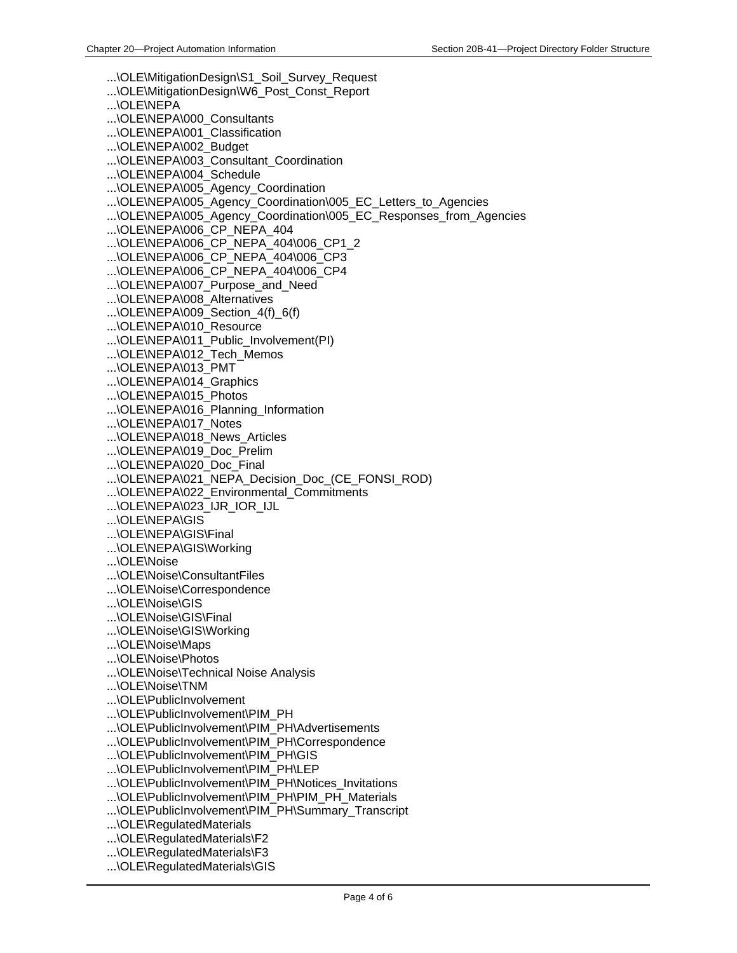...\OLE\MitigationDesign\S1\_Soil\_Survey\_Request ...\OLE\MitigationDesign\W6\_Post\_Const\_Report ...\OLE\NEPA ...\OLE\NEPA\000\_Consultants ...\OLE\NEPA\001\_Classification ...\OLE\NEPA\002\_Budget ...\OLE\NEPA\003\_Consultant\_Coordination ...\OLE\NEPA\004\_Schedule ...\OLE\NEPA\005\_Agency\_Coordination ...\OLE\NEPA\005\_Agency\_Coordination\005\_EC\_Letters\_to\_Agencies ...\OLE\NEPA\005\_Agency\_Coordination\005\_EC\_Responses\_from\_Agencies ...\OLE\NEPA\006\_CP\_NEPA\_404 ...\OLE\NEPA\006\_CP\_NEPA\_404\006\_CP1\_2 ...\OLE\NEPA\006\_CP\_NEPA\_404\006\_CP3 ...\OLE\NEPA\006\_CP\_NEPA\_404\006\_CP4 ...\OLE\NEPA\007\_Purpose\_and\_Need ...\OLE\NEPA\008\_Alternatives ...\OLE\NEPA\009 Section  $4(f)$  6(f) ...\OLE\NEPA\010\_Resource ...\OLE\NEPA\011\_Public\_Involvement(PI) ...\OLE\NEPA\012\_Tech\_Memos ...\OLE\NEPA\013\_PMT ...\OLE\NEPA\014\_Graphics ...\OLE\NEPA\015\_Photos ...\OLE\NEPA\016\_Planning\_Information ...\OLE\NEPA\017\_Notes ...\OLE\NEPA\018\_News\_Articles ...\OLE\NEPA\019\_Doc\_Prelim ...\OLE\NEPA\020\_Doc\_Final ...\OLE\NEPA\021\_NEPA\_Decision\_Doc\_(CE\_FONSI\_ROD) ...\OLE\NEPA\022\_Environmental\_Commitments ...\OLE\NEPA\023\_IJR\_IOR\_IJL ...\OLE\NEPA\GIS ...\OLE\NEPA\GIS\Final ...\OLE\NEPA\GIS\Working ...\OLE\Noise ...\OLE\Noise\ConsultantFiles ...\OLE\Noise\Correspondence ...\OLE\Noise\GIS ...\OLE\Noise\GIS\Final ...\OLE\Noise\GIS\Working ...\OLE\Noise\Maps ...\OLE\Noise\Photos ...\OLE\Noise\Technical Noise Analysis ...\OLE\Noise\TNM ...\OLE\PublicInvolvement ...\OLE\PublicInvolvement\PIM\_PH ...\OLE\PublicInvolvement\PIM\_PH\Advertisements ...\OLE\PublicInvolvement\PIM\_PH\Correspondence ...\OLE\PublicInvolvement\PIM\_PH\GIS ...\OLE\PublicInvolvement\PIM\_PH\LEP ...\OLE\PublicInvolvement\PIM\_PH\Notices\_Invitations ...\OLE\PublicInvolvement\PIM\_PH\PIM\_PH\_Materials ...\OLE\PublicInvolvement\PIM\_PH\Summary\_Transcript ...\OLE\RegulatedMaterials ...\OLE\RegulatedMaterials\F2 ...\OLE\RegulatedMaterials\F3 ...\OLE\RegulatedMaterials\GIS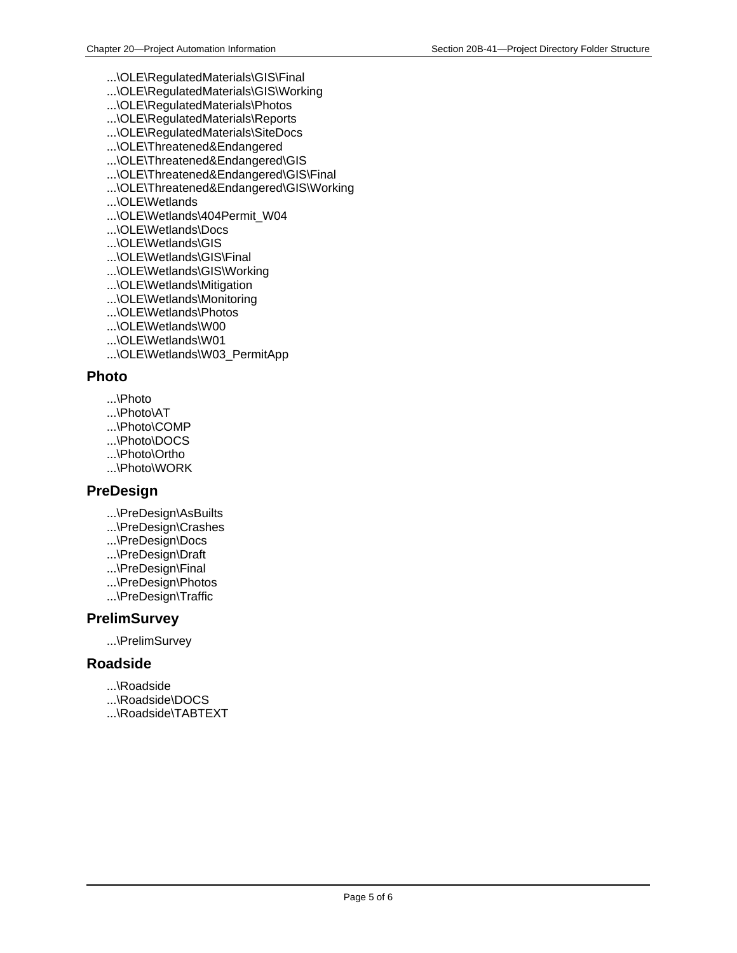- ...\OLE\RegulatedMaterials\GIS\Final
- ...\OLE\RegulatedMaterials\GIS\Working
- ...\OLE\RegulatedMaterials\Photos
- ...\OLE\RegulatedMaterials\Reports
- ...\OLE\RegulatedMaterials\SiteDocs
- ...\OLE\Threatened&Endangered
- ...\OLE\Threatened&Endangered\GIS
- ...\OLE\Threatened&Endangered\GIS\Final
- ...\OLE\Threatened&Endangered\GIS\Working
- ...\OLE\Wetlands
- ...\OLE\Wetlands\404Permit\_W04
- ...\OLE\Wetlands\Docs
- ...\OLE\Wetlands\GIS
- ...\OLE\Wetlands\GIS\Final
- ...\OLE\Wetlands\GIS\Working
- ...\OLE\Wetlands\Mitigation
- ...\OLE\Wetlands\Monitoring
- ...\OLE\Wetlands\Photos
- ...\OLE\Wetlands\W00
- ...\OLE\Wetlands\W01
- ...\OLE\Wetlands\W03\_PermitApp

#### **Photo**

- ...\Photo
- ...\Photo\AT
- ...\Photo\COMP
- ...\Photo\DOCS
- ...\Photo\Ortho
- ...\Photo\WORK

#### **PreDesign**

- ...\PreDesign\AsBuilts
- ...\PreDesign\Crashes
- ...\PreDesign\Docs
- ...\PreDesign\Draft
- ...\PreDesign\Final
- ...\PreDesign\Photos
- ...\PreDesign\Traffic

#### **PrelimSurvey**

...\PrelimSurvey

#### **Roadside**

- ...\Roadside
- ...\Roadside\DOCS
- ...\Roadside\TABTEXT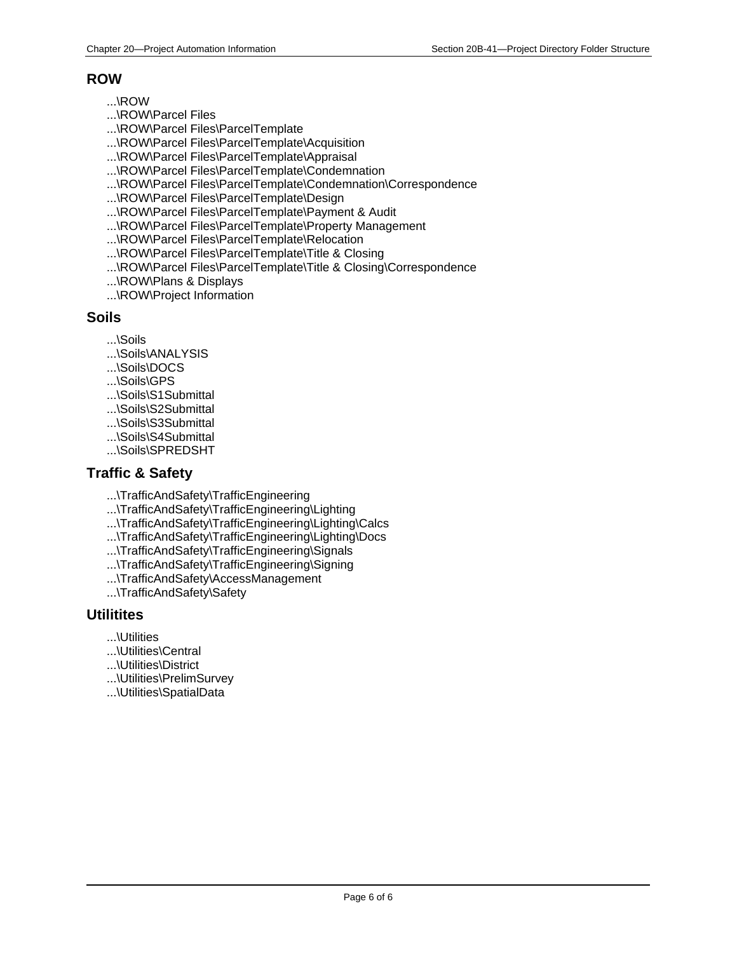#### **ROW**

- ...\ROW
- ...\ROW\Parcel Files
- ...\ROW\Parcel Files\ParcelTemplate
- ...\ROW\Parcel Files\ParcelTemplate\Acquisition
- ...\ROW\Parcel Files\ParcelTemplate\Appraisal
- ...\ROW\Parcel Files\ParcelTemplate\Condemnation
- ...\ROW\Parcel Files\ParcelTemplate\Condemnation\Correspondence
- ...\ROW\Parcel Files\ParcelTemplate\Design
- ...\ROW\Parcel Files\ParcelTemplate\Payment & Audit
- ...\ROW\Parcel Files\ParcelTemplate\Property Management
- ...\ROW\Parcel Files\ParcelTemplate\Relocation
- ...\ROW\Parcel Files\ParcelTemplate\Title & Closing
- ...\ROW\Parcel Files\ParcelTemplate\Title & Closing\Correspondence
- ...\ROW\Plans & Displays
- ...\ROW\Project Information

#### **Soils**

- ...\Soils
- ...\Soils\ANALYSIS
- ...\Soils\DOCS
- ...\Soils\GPS
- ...\Soils\S1Submittal
- ...\Soils\S2Submittal
- ...\Soils\S3Submittal
- ...\Soils\S4Submittal
- ...\Soils\SPREDSHT

### **Traffic & Safety**

- ...\TrafficAndSafety\TrafficEngineering
- ...\TrafficAndSafety\TrafficEngineering\Lighting
- ...\TrafficAndSafety\TrafficEngineering\Lighting\Calcs
- ...\TrafficAndSafety\TrafficEngineering\Lighting\Docs
- ...\TrafficAndSafety\TrafficEngineering\Signals
- ...\TrafficAndSafety\TrafficEngineering\Signing
- ...\TrafficAndSafety\AccessManagement
- ...\TrafficAndSafety\Safety

#### **Utilitites**

- ...\Utilities
- ...\Utilities\Central
- ...\Utilities\District
- ...\Utilities\PrelimSurvey
- ...\Utilities\SpatialData